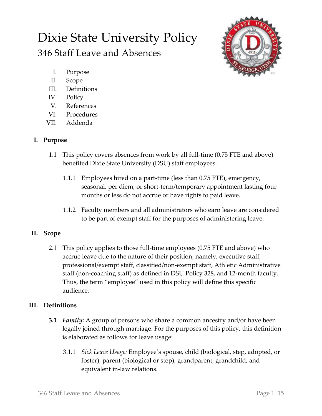# Dixie State University Policy

# 346 Staff Leave and Absences



- I. Purpose
- II. Scope
- III. Definitions
- IV. Policy
- V. References
- VI. Procedures
- VII. Addenda

# **I. Purpose**

- 1.1 This policy covers absences from work by all full-time (0.75 FTE and above) benefited Dixie State University (DSU) staff employees.
	- 1.1.1 Employees hired on a part-time (less than 0.75 FTE), emergency, seasonal, per diem, or short-term/temporary appointment lasting four months or less do not accrue or have rights to paid leave.
	- 1.1.2 Faculty members and all administrators who earn leave are considered to be part of exempt staff for the purposes of administering leave.

## **II. Scope**

2.1 This policy applies to those full-time employees (0.75 FTE and above) who accrue leave due to the nature of their position; namely, executive staff, professional/exempt staff, classified/non-exempt staff, Athletic Administrative staff (non-coaching staff) as defined in DSU Policy 328, and 12-month faculty. Thus, the term "employee" used in this policy will define this specific audience.

## **III. Definitions**

- **3.1** *Family:* A group of persons who share a common ancestry and/or have been legally joined through marriage. For the purposes of this policy, this definition is elaborated as follows for leave usage:
	- 3.1.1 *Sick Leave Usage:* Employee's spouse, child (biological, step, adopted, or foster), parent (biological or step), grandparent, grandchild, and equivalent in-law relations.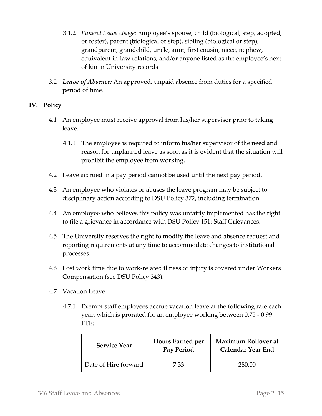- 3.1.2 *Funeral Leave Usage:* Employee's spouse, child (biological, step, adopted, or foster), parent (biological or step), sibling (biological or step), grandparent, grandchild, uncle, aunt, first cousin, niece, nephew, equivalent in-law relations, and/or anyone listed as the employee's next of kin in University records.
- 3.2 *Leave of Absence:* An approved, unpaid absence from duties for a specified period of time.

#### **IV. Policy**

- 4.1 An employee must receive approval from his/her supervisor prior to taking leave.
	- 4.1.1 The employee is required to inform his/her supervisor of the need and reason for unplanned leave as soon as it is evident that the situation will prohibit the employee from working.
- 4.2 Leave accrued in a pay period cannot be used until the next pay period.
- 4.3 An employee who violates or abuses the leave program may be subject to disciplinary action according to DSU Policy 372, including termination.
- 4.4 An employee who believes this policy was unfairly implemented has the right to file a grievance in accordance with DSU Policy 151: Staff Grievances.
- 4.5 The University reserves the right to modify the leave and absence request and reporting requirements at any time to accommodate changes to institutional processes.
- 4.6 Lost work time due to work-related illness or injury is covered under Workers Compensation (see DSU Policy 343).
- 4.7 Vacation Leave
	- 4.7.1 Exempt staff employees accrue vacation leave at the following rate each year, which is prorated for an employee working between 0.75 - 0.99 FTE:

| <b>Service Year</b>  | <b>Hours Earned per</b><br><b>Pay Period</b> | Maximum Rollover at<br><b>Calendar Year End</b> |
|----------------------|----------------------------------------------|-------------------------------------------------|
| Date of Hire forward | 7.33                                         | 280.00                                          |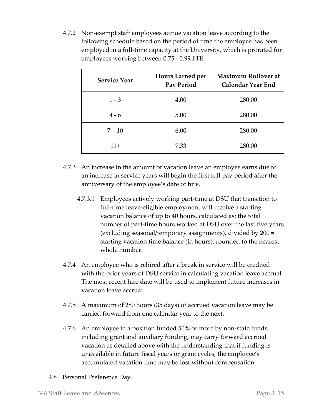4.7.2 Non-exempt staff employees accrue vacation leave according to the following schedule based on the period of time the employee has been employed in a full-time capacity at the University, which is prorated for employees working between 0.75 - 0.99 FTE:

| <b>Service Year</b> | <b>Hours Earned per</b><br><b>Pay Period</b> | <b>Maximum Rollover at</b><br><b>Calendar Year End</b> |
|---------------------|----------------------------------------------|--------------------------------------------------------|
| $1 - 3$             | 4.00                                         | 280.00                                                 |
| $4 - 6$             | 5.00                                         | 280.00                                                 |
| $7 - 10$            | 6.00                                         | 280.00                                                 |
| $11+$               | 7.33                                         | 280.00                                                 |

- 4.7.3 An increase in the amount of vacation leave an employee earns due to an increase in service years will begin the first full pay period after the anniversary of the employee's date of hire.
	- 4.7.3.1 Employees actively working part-time at DSU that transition to full-time leave-eligible employment will receive a starting vacation balance of up to 40 hours, calculated as: the total number of part-time hours worked at DSU over the last five years (excluding seasonal/temporary assignments), divided by 200 = starting vacation time balance (in hours), rounded to the nearest whole number.
- 4.7.4 An employee who is rehired after a break in service will be credited with the prior years of DSU service in calculating vacation leave accrual. The most recent hire date will be used to implement future increases in vacation leave accrual.
- 4.7.5 A maximum of 280 hours (35 days) of accrued vacation leave may be carried forward from one calendar year to the next.
- 4.7.6 An employee in a position funded 50% or more by non-state funds, including grant and auxiliary funding, may carry forward accrued vacation as detailed above with the understanding that if funding is unavailable in future fiscal years or grant cycles, the employee's accumulated vacation time may be lost without compensation.
- 4.8 Personal Preference Day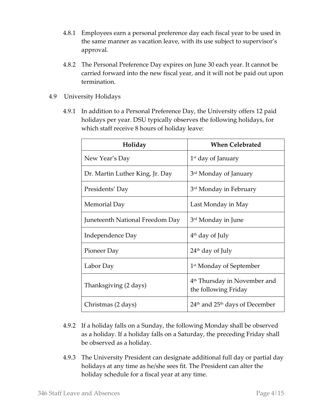- 4.8.1 Employees earn a personal preference day each fiscal year to be used in the same manner as vacation leave, with its use subject to supervisor's approval.
- 4.8.2 The Personal Preference Day expires on June 30 each year. It cannot be carried forward into the new fiscal year, and it will not be paid out upon termination.
- 4.9 University Holidays
	- 4.9.1 In addition to a Personal Preference Day, the University offers 12 paid holidays per year. DSU typically observes the following holidays, for which staff receive 8 hours of holiday leave:

| Holiday                         | <b>When Celebrated</b>                                           |  |
|---------------------------------|------------------------------------------------------------------|--|
| New Year's Day                  | $1st$ day of January                                             |  |
| Dr. Martin Luther King, Jr. Day | 3 <sup>rd</sup> Monday of January                                |  |
| Presidents' Day                 | 3 <sup>rd</sup> Monday in February                               |  |
| Memorial Day                    | Last Monday in May                                               |  |
| Juneteenth National Freedom Day | 3 <sup>rd</sup> Monday in June                                   |  |
| Independence Day                | $4th$ day of July                                                |  |
| Pioneer Day                     | 24 <sup>th</sup> day of July                                     |  |
| Labor Day                       | 1 <sup>st</sup> Monday of September                              |  |
| Thanksgiving (2 days)           | 4 <sup>th</sup> Thursday in November and<br>the following Friday |  |
| Christmas (2 days)              | $24th$ and $25th$ days of December                               |  |

- 4.9.2 If a holiday falls on a Sunday, the following Monday shall be observed as a holiday. If a holiday falls on a Saturday, the preceding Friday shall be observed as a holiday.
- 4.9.3 The University President can designate additional full day or partial day holidays at any time as he/she sees fit. The President can alter the holiday schedule for a fiscal year at any time.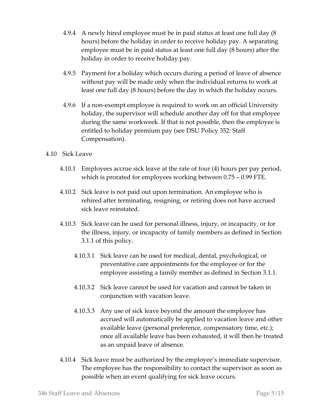- 4.9.4 A newly hired employee must be in paid status at least one full day (8 hours) before the holiday in order to receive holiday pay. A separating employee must be in paid status at least one full day (8 hours) after the holiday in order to receive holiday pay.
- 4.9.5 Payment for a holiday which occurs during a period of leave of absence without pay will be made only when the individual returns to work at least one full day (8 hours) before the day in which the holiday occurs.
- 4.9.6 If a non-exempt employee is required to work on an official University holiday, the supervisor will schedule another day off for that employee during the same workweek. If that is not possible, then the employee is entitled to holiday premium pay (see DSU Policy 352: Staff Compensation).
- 4.10 Sick Leave
	- 4.10.1 Employees accrue sick leave at the rate of four (4) hours per pay period, which is prorated for employees working between 0.75 – 0.99 FTE.
	- 4.10.2 Sick leave is not paid out upon termination. An employee who is rehired after terminating, resigning, or retiring does not have accrued sick leave reinstated.
	- 4.10.3 Sick leave can be used for personal illness, injury, or incapacity, or for the illness, injury, or incapacity of family members as defined in Section 3.1.1 of this policy.
		- 4.10.3.1 Sick leave can be used for medical, dental, psychological, or preventative care appointments for the employee or for the employee assisting a family member as defined in Section 3.1.1.
		- 4.10.3.2 Sick leave cannot be used for vacation and cannot be taken in conjunction with vacation leave.
		- 4.10.3.3 Any use of sick leave beyond the amount the employee has accrued will automatically be applied to vacation leave and other available leave (personal preference, compensatory time, etc.); once all available leave has been exhausted, it will then be treated as an unpaid leave of absence.
	- 4.10.4 Sick leave must be authorized by the employee's immediate supervisor. The employee has the responsibility to contact the supervisor as soon as possible when an event qualifying for sick leave occurs.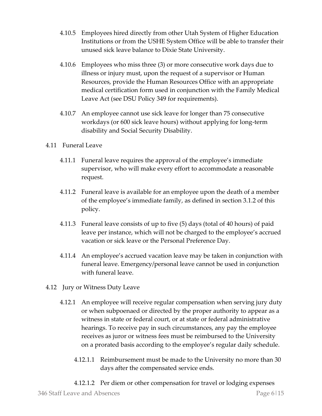- 4.10.5 Employees hired directly from other Utah System of Higher Education Institutions or from the USHE System Office will be able to transfer their unused sick leave balance to Dixie State University.
- 4.10.6 Employees who miss three (3) or more consecutive work days due to illness or injury must, upon the request of a supervisor or Human Resources, provide the Human Resources Office with an appropriate medical certification form used in conjunction with the Family Medical Leave Act (see DSU Policy 349 for requirements).
- 4.10.7 An employee cannot use sick leave for longer than 75 consecutive workdays (or 600 sick leave hours) without applying for long-term disability and Social Security Disability.

#### 4.11 Funeral Leave

- 4.11.1 Funeral leave requires the approval of the employee's immediate supervisor, who will make every effort to accommodate a reasonable request.
- 4.11.2 Funeral leave is available for an employee upon the death of a member of the employee's immediate family, as defined in section 3.1.2 of this policy.
- 4.11.3 Funeral leave consists of up to five (5) days (total of 40 hours) of paid leave per instance, which will not be charged to the employee's accrued vacation or sick leave or the Personal Preference Day.
- 4.11.4 An employee's accrued vacation leave may be taken in conjunction with funeral leave. Emergency/personal leave cannot be used in conjunction with funeral leave.
- 4.12 Jury or Witness Duty Leave
	- 4.12.1 An employee will receive regular compensation when serving jury duty or when subpoenaed or directed by the proper authority to appear as a witness in state or federal court, or at state or federal administrative hearings. To receive pay in such circumstances, any pay the employee receives as juror or witness fees must be reimbursed to the University on a prorated basis according to the employee's regular daily schedule.
		- 4.12.1.1 Reimbursement must be made to the University no more than 30 days after the compensated service ends.
		- 4.12.1.2 Per diem or other compensation for travel or lodging expenses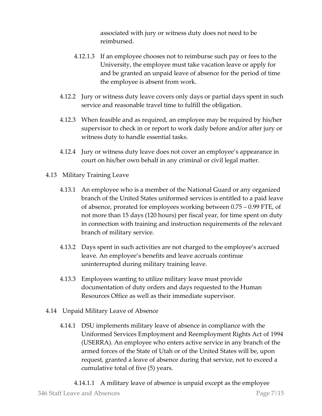associated with jury or witness duty does not need to be reimbursed.

- 4.12.1.3 If an employee chooses not to reimburse such pay or fees to the University, the employee must take vacation leave or apply for and be granted an unpaid leave of absence for the period of time the employee is absent from work.
- 4.12.2 Jury or witness duty leave covers only days or partial days spent in such service and reasonable travel time to fulfill the obligation.
- 4.12.3 When feasible and as required, an employee may be required by his/her supervisor to check in or report to work daily before and/or after jury or witness duty to handle essential tasks.
- 4.12.4 Jury or witness duty leave does not cover an employee's appearance in court on his/her own behalf in any criminal or civil legal matter.
- 4.13 Military Training Leave
	- 4.13.1 An employee who is a member of the National Guard or any organized branch of the United States uniformed services is entitled to a paid leave of absence, prorated for employees working between 0.75 – 0.99 FTE, of not more than 15 days (120 hours) per fiscal year, for time spent on duty in connection with training and instruction requirements of the relevant branch of military service.
	- 4.13.2 Days spent in such activities are not charged to the employee's accrued leave. An employee's benefits and leave accruals continue uninterrupted during military training leave.
	- 4.13.3 Employees wanting to utilize military leave must provide documentation of duty orders and days requested to the Human Resources Office as well as their immediate supervisor.
- 4.14 Unpaid Military Leave of Absence
	- 4.14.1 DSU implements military leave of absence in compliance with the Uniformed Services Employment and Reemployment Rights Act of 1994 (USERRA). An employee who enters active service in any branch of the armed forces of the State of Utah or of the United States will be, upon request, granted a leave of absence during that service, not to exceed a cumulative total of five (5) years.
		- 4.14.1.1 A military leave of absence is unpaid except as the employee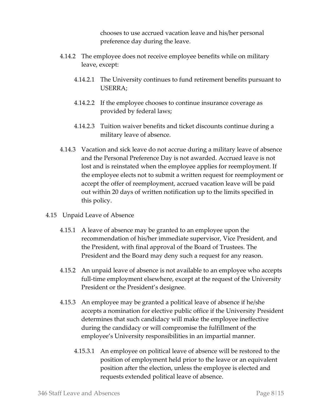chooses to use accrued vacation leave and his/her personal preference day during the leave.

- 4.14.2 The employee does not receive employee benefits while on military leave, except:
	- 4.14.2.1 The University continues to fund retirement benefits pursuant to USERRA;
	- 4.14.2.2 If the employee chooses to continue insurance coverage as provided by federal laws;
	- 4.14.2.3 Tuition waiver benefits and ticket discounts continue during a military leave of absence.
- 4.14.3 Vacation and sick leave do not accrue during a military leave of absence and the Personal Preference Day is not awarded. Accrued leave is not lost and is reinstated when the employee applies for reemployment. If the employee elects not to submit a written request for reemployment or accept the offer of reemployment, accrued vacation leave will be paid out within 20 days of written notification up to the limits specified in this policy.
- 4.15 Unpaid Leave of Absence
	- 4.15.1 A leave of absence may be granted to an employee upon the recommendation of his/her immediate supervisor, Vice President, and the President, with final approval of the Board of Trustees. The President and the Board may deny such a request for any reason.
	- 4.15.2 An unpaid leave of absence is not available to an employee who accepts full-time employment elsewhere, except at the request of the University President or the President's designee.
	- 4.15.3 An employee may be granted a political leave of absence if he/she accepts a nomination for elective public office if the University President determines that such candidacy will make the employee ineffective during the candidacy or will compromise the fulfillment of the employee's University responsibilities in an impartial manner.
		- 4.15.3.1 An employee on political leave of absence will be restored to the position of employment held prior to the leave or an equivalent position after the election, unless the employee is elected and requests extended political leave of absence.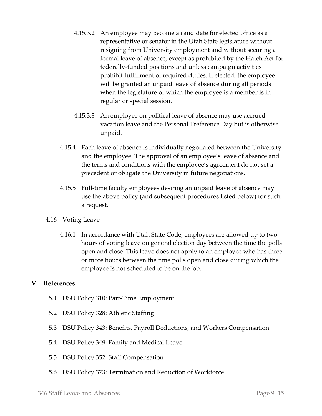- 4.15.3.2 An employee may become a candidate for elected office as a representative or senator in the Utah State legislature without resigning from University employment and without securing a formal leave of absence, except as prohibited by the Hatch Act for federally-funded positions and unless campaign activities prohibit fulfillment of required duties. If elected, the employee will be granted an unpaid leave of absence during all periods when the legislature of which the employee is a member is in regular or special session.
- 4.15.3.3 An employee on political leave of absence may use accrued vacation leave and the Personal Preference Day but is otherwise unpaid.
- 4.15.4 Each leave of absence is individually negotiated between the University and the employee. The approval of an employee's leave of absence and the terms and conditions with the employee's agreement do not set a precedent or obligate the University in future negotiations.
- 4.15.5 Full-time faculty employees desiring an unpaid leave of absence may use the above policy (and subsequent procedures listed below) for such a request.
- 4.16 Voting Leave
	- 4.16.1 In accordance with Utah State Code, employees are allowed up to two hours of voting leave on general election day between the time the polls open and close. This leave does not apply to an employee who has three or more hours between the time polls open and close during which the employee is not scheduled to be on the job.

#### **V. References**

- 5.1 DSU Policy 310: Part-Time Employment
- 5.2 DSU Policy 328: Athletic Staffing
- 5.3 DSU Policy 343: Benefits, Payroll Deductions, and Workers Compensation
- 5.4 DSU Policy 349: Family and Medical Leave
- 5.5 DSU Policy 352: Staff Compensation
- 5.6 DSU Policy 373: Termination and Reduction of Workforce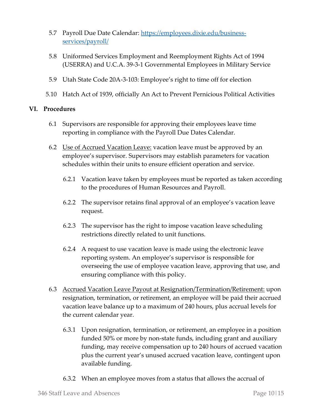- 5.7 Payroll Due Date Calendar: [https://employees.dixie.edu/business](https://employees.dixie.edu/business-services/payroll/)[services/payroll/](https://employees.dixie.edu/business-services/payroll/)
- 5.8 Uniformed Services Employment and Reemployment Rights Act of 1994 (USERRA) and U.C.A. 39-3-1 Governmental Employees in Military Service
- 5.9 Utah State Code 20A-3-103: Employee's right to time off for election
- 5.10 Hatch Act of 1939, officially An Act to Prevent Pernicious Political Activities

#### **VI. Procedures**

- 6.1 Supervisors are responsible for approving their employees leave time reporting in compliance with the Payroll Due Dates Calendar.
- 6.2 Use of Accrued Vacation Leave: vacation leave must be approved by an employee's supervisor. Supervisors may establish parameters for vacation schedules within their units to ensure efficient operation and service.
	- 6.2.1 Vacation leave taken by employees must be reported as taken according to the procedures of Human Resources and Payroll.
	- 6.2.2 The supervisor retains final approval of an employee's vacation leave request.
	- 6.2.3 The supervisor has the right to impose vacation leave scheduling restrictions directly related to unit functions.
	- 6.2.4 A request to use vacation leave is made using the electronic leave reporting system. An employee's supervisor is responsible for overseeing the use of employee vacation leave, approving that use, and ensuring compliance with this policy.
- 6.3 Accrued Vacation Leave Payout at Resignation/Termination/Retirement: upon resignation, termination, or retirement, an employee will be paid their accrued vacation leave balance up to a maximum of 240 hours, plus accrual levels for the current calendar year.
	- 6.3.1 Upon resignation, termination, or retirement, an employee in a position funded 50% or more by non-state funds, including grant and auxiliary funding, may receive compensation up to 240 hours of accrued vacation plus the current year's unused accrued vacation leave, contingent upon available funding.
	- 6.3.2 When an employee moves from a status that allows the accrual of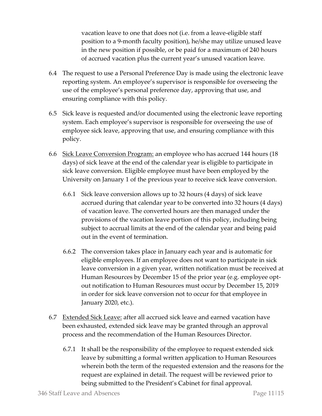vacation leave to one that does not (i.e. from a leave-eligible staff position to a 9-month faculty position), he/she may utilize unused leave in the new position if possible, or be paid for a maximum of 240 hours of accrued vacation plus the current year's unused vacation leave.

- 6.4 The request to use a Personal Preference Day is made using the electronic leave reporting system. An employee's supervisor is responsible for overseeing the use of the employee's personal preference day, approving that use, and ensuring compliance with this policy.
- 6.5 Sick leave is requested and/or documented using the electronic leave reporting system. Each employee's supervisor is responsible for overseeing the use of employee sick leave, approving that use, and ensuring compliance with this policy.
- 6.6 Sick Leave Conversion Program: an employee who has accrued 144 hours (18 days) of sick leave at the end of the calendar year is eligible to participate in sick leave conversion. Eligible employee must have been employed by the University on January 1 of the previous year to receive sick leave conversion.
	- 6.6.1 Sick leave conversion allows up to 32 hours (4 days) of sick leave accrued during that calendar year to be converted into 32 hours (4 days) of vacation leave. The converted hours are then managed under the provisions of the vacation leave portion of this policy, including being subject to accrual limits at the end of the calendar year and being paid out in the event of termination.
	- 6.6.2 The conversion takes place in January each year and is automatic for eligible employees. If an employee does not want to participate in sick leave conversion in a given year, written notification must be received at Human Resources by December 15 of the prior year (e.g. employee optout notification to Human Resources must occur by December 15, 2019 in order for sick leave conversion not to occur for that employee in January 2020, etc.).
- 6.7 Extended Sick Leave: after all accrued sick leave and earned vacation have been exhausted, extended sick leave may be granted through an approval process and the recommendation of the Human Resources Director.
	- 6.7.1 It shall be the responsibility of the employee to request extended sick leave by submitting a formal written application to Human Resources wherein both the term of the requested extension and the reasons for the request are explained in detail. The request will be reviewed prior to being submitted to the President's Cabinet for final approval.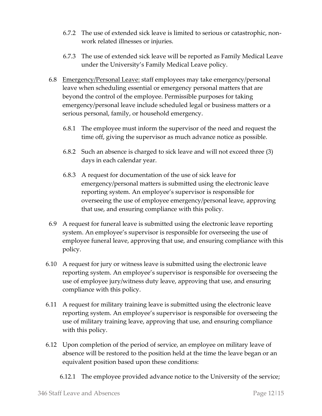- 6.7.2 The use of extended sick leave is limited to serious or catastrophic, nonwork related illnesses or injuries.
- 6.7.3 The use of extended sick leave will be reported as Family Medical Leave under the University's Family Medical Leave policy.
- 6.8 Emergency/Personal Leave: staff employees may take emergency/personal leave when scheduling essential or emergency personal matters that are beyond the control of the employee. Permissible purposes for taking emergency/personal leave include scheduled legal or business matters or a serious personal, family, or household emergency.
	- 6.8.1 The employee must inform the supervisor of the need and request the time off, giving the supervisor as much advance notice as possible.
	- 6.8.2 Such an absence is charged to sick leave and will not exceed three (3) days in each calendar year.
	- 6.8.3 A request for documentation of the use of sick leave for emergency/personal matters is submitted using the electronic leave reporting system. An employee's supervisor is responsible for overseeing the use of employee emergency/personal leave, approving that use, and ensuring compliance with this policy.
- 6.9 A request for funeral leave is submitted using the electronic leave reporting system. An employee's supervisor is responsible for overseeing the use of employee funeral leave, approving that use, and ensuring compliance with this policy.
- 6.10 A request for jury or witness leave is submitted using the electronic leave reporting system. An employee's supervisor is responsible for overseeing the use of employee jury/witness duty leave, approving that use, and ensuring compliance with this policy.
- 6.11 A request for military training leave is submitted using the electronic leave reporting system. An employee's supervisor is responsible for overseeing the use of military training leave, approving that use, and ensuring compliance with this policy.
- 6.12 Upon completion of the period of service, an employee on military leave of absence will be restored to the position held at the time the leave began or an equivalent position based upon these conditions:

6.12.1 The employee provided advance notice to the University of the service;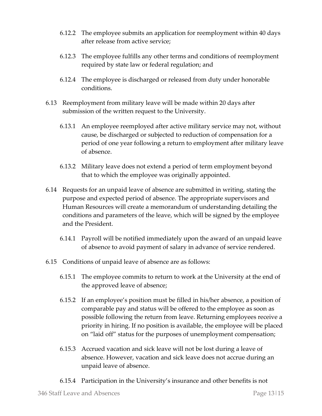- 6.12.2 The employee submits an application for reemployment within 40 days after release from active service;
- 6.12.3 The employee fulfills any other terms and conditions of reemployment required by state law or federal regulation; and
- 6.12.4 The employee is discharged or released from duty under honorable conditions.
- 6.13 Reemployment from military leave will be made within 20 days after submission of the written request to the University.
	- 6.13.1 An employee reemployed after active military service may not, without cause, be discharged or subjected to reduction of compensation for a period of one year following a return to employment after military leave of absence.
	- 6.13.2 Military leave does not extend a period of term employment beyond that to which the employee was originally appointed.
- 6.14 Requests for an unpaid leave of absence are submitted in writing, stating the purpose and expected period of absence. The appropriate supervisors and Human Resources will create a memorandum of understanding detailing the conditions and parameters of the leave, which will be signed by the employee and the President.
	- 6.14.1 Payroll will be notified immediately upon the award of an unpaid leave of absence to avoid payment of salary in advance of service rendered.
- 6.15 Conditions of unpaid leave of absence are as follows:
	- 6.15.1 The employee commits to return to work at the University at the end of the approved leave of absence;
	- 6.15.2 If an employee's position must be filled in his/her absence, a position of comparable pay and status will be offered to the employee as soon as possible following the return from leave. Returning employees receive a priority in hiring. If no position is available, the employee will be placed on "laid off" status for the purposes of unemployment compensation;
	- 6.15.3 Accrued vacation and sick leave will not be lost during a leave of absence. However, vacation and sick leave does not accrue during an unpaid leave of absence.
	- 6.15.4 Participation in the University's insurance and other benefits is not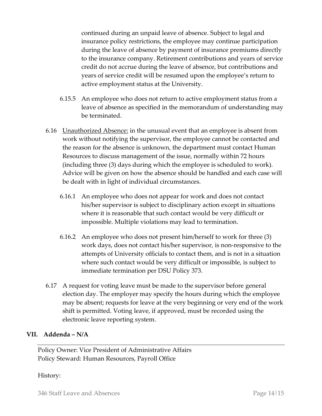continued during an unpaid leave of absence. Subject to legal and insurance policy restrictions, the employee may continue participation during the leave of absence by payment of insurance premiums directly to the insurance company. Retirement contributions and years of service credit do not accrue during the leave of absence, but contributions and years of service credit will be resumed upon the employee's return to active employment status at the University.

- 6.15.5 An employee who does not return to active employment status from a leave of absence as specified in the memorandum of understanding may be terminated.
- 6.16 Unauthorized Absence: in the unusual event that an employee is absent from work without notifying the supervisor, the employee cannot be contacted and the reason for the absence is unknown, the department must contact Human Resources to discuss management of the issue, normally within 72 hours (including three (3) days during which the employee is scheduled to work). Advice will be given on how the absence should be handled and each case will be dealt with in light of individual circumstances.
	- 6.16.1 An employee who does not appear for work and does not contact his/her supervisor is subject to disciplinary action except in situations where it is reasonable that such contact would be very difficult or impossible. Multiple violations may lead to termination.
	- 6.16.2 An employee who does not present him/herself to work for three (3) work days, does not contact his/her supervisor, is non-responsive to the attempts of University officials to contact them, and is not in a situation where such contact would be very difficult or impossible, is subject to immediate termination per DSU Policy 373.
- 6.17 A request for voting leave must be made to the supervisor before general election day. The employer may specify the hours during which the employee may be absent; requests for leave at the very beginning or very end of the work shift is permitted. Voting leave, if approved, must be recorded using the electronic leave reporting system.

#### **VII. Addenda – N/A**

Policy Owner: Vice President of Administrative Affairs Policy Steward: Human Resources, Payroll Office

#### History: